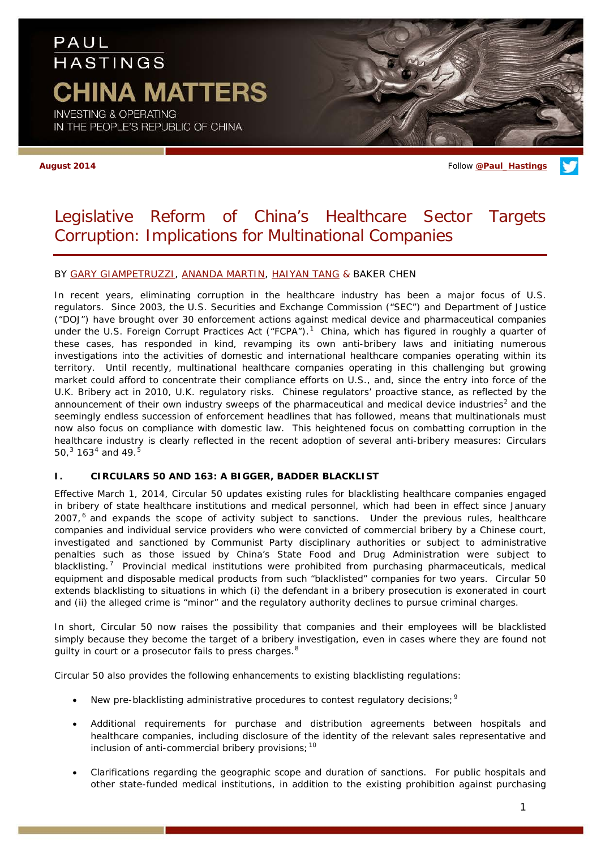# PAUL **HASTINGS CHINA MATTERS**

**INVESTING & OPERATING** IN THE PEOPLE'S REPUBLIC OF CHINA

**August 2014** Follow **[@Paul\\_Hastings](http://twitter.com/Paul_Hastings)**

### Legislative Reform of China's Healthcare Sector Targets Corruption: Implications for Multinational Companies

#### BY [GARY GIAMPETRUZZI,](http://www.paulhastings.com/Professionals/details/garygiampetruzzi/) [ANANDA MARTIN,](http://www.paulhastings.com/Professionals/details/anandamartin/) [HAIYAN TANG](http://www.paulhastings.com/Professionals/details/haiyantang/) & BAKER CHEN

In recent years, eliminating corruption in the healthcare industry has been a major focus of U.S. regulators. Since 2003, the U.S. Securities and Exchange Commission ("SEC") and Department of Justice ("DOJ") have brought over 30 enforcement actions against medical device and pharmaceutical companies under the U.S. Foreign Corrupt Practices Act ("FCPA").<sup>[1](#page-4-0)</sup> China, which has figured in roughly a quarter of these cases, has responded in kind, revamping its own anti-bribery laws and initiating numerous investigations into the activities of domestic and international healthcare companies operating within its territory. Until recently, multinational healthcare companies operating in this challenging but growing market could afford to concentrate their compliance efforts on U.S., and, since the entry into force of the U.K. Bribery act in 2010, U.K. regulatory risks. Chinese regulators' proactive stance, as reflected by the announcement of their own industry sweeps of the pharmaceutical and medical device industries<sup>[2](#page-4-1)</sup> and the seemingly endless succession of enforcement headlines that has followed, means that multinationals must now also focus on compliance with domestic law. This heightened focus on combatting corruption in the healthcare industry is clearly reflected in the recent adoption of several anti-bribery measures: Circulars [5](#page-4-4)0, $3$  163<sup>[4](#page-4-3)</sup> and 49.<sup>5</sup>

#### **I. CIRCULARS 50 AND 163: A BIGGER, BADDER BLACKLIST**

Effective March 1, 2014, Circular 50 updates existing rules for blacklisting healthcare companies engaged in bribery of state healthcare institutions and medical personnel, which had been in effect since January 2007,<sup>[6](#page-4-5)</sup> and expands the scope of activity subject to sanctions. Under the previous rules, healthcare companies and individual service providers who were convicted of commercial bribery by a Chinese court, investigated and sanctioned by Communist Party disciplinary authorities or subject to administrative penalties such as those issued by China's State Food and Drug Administration were subject to blacklisting.<sup>[7](#page-4-6)</sup> Provincial medical institutions were prohibited from purchasing pharmaceuticals, medical equipment and disposable medical products from such "blacklisted" companies for two years. Circular 50 extends blacklisting to situations in which (i) the defendant in a bribery prosecution is exonerated in court and (ii) the alleged crime is "minor" and the regulatory authority declines to pursue criminal charges.

In short, Circular 50 now raises the possibility that companies and their employees will be blacklisted simply because they become the target of a bribery investigation, even in cases where they are found not guilty in court or a prosecutor fails to press charges.<sup>[8](#page-4-7)</sup>

Circular 50 also provides the following enhancements to existing blacklisting regulations:

- New pre-blacklisting administrative procedures to contest regulatory decisions; [9](#page-4-8)
- Additional requirements for purchase and distribution agreements between hospitals and healthcare companies, including disclosure of the identity of the relevant sales representative and inclusion of anti-commercial bribery provisions;  $10$
- Clarifications regarding the geographic scope and duration of sanctions. For public hospitals and other state-funded medical institutions, in addition to the existing prohibition against purchasing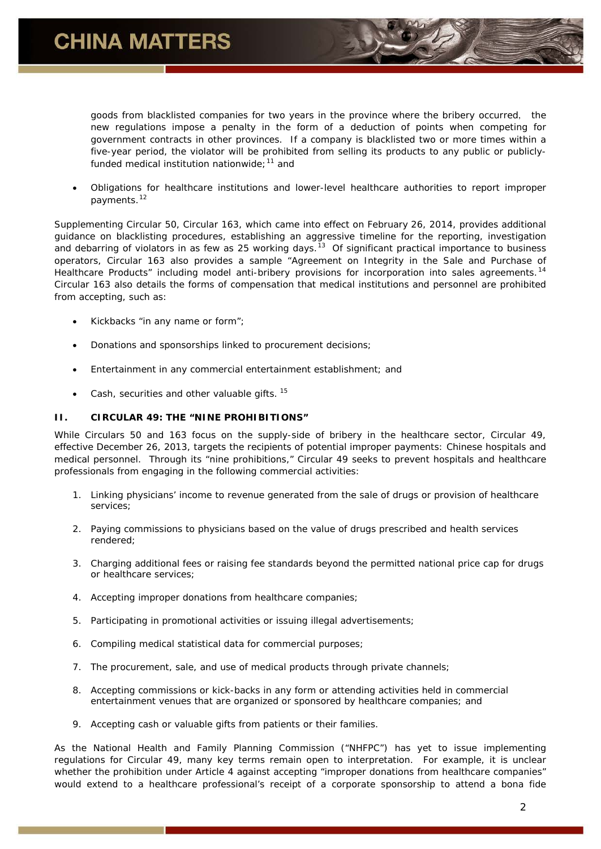

goods from blacklisted companies for two years in the province where the bribery occurred, the new regulations impose a penalty in the form of a deduction of points when competing for government contracts in other provinces. If a company is blacklisted two or more times within a five-year period, the violator will be prohibited from selling its products to any public or publiclyfunded medical institution nationwide: $11$  and

• Obligations for healthcare institutions and lower-level healthcare authorities to report improper payments.<sup>[12](#page-4-11)</sup>

Supplementing Circular 50, Circular 163, which came into effect on February 26, 2014, provides additional guidance on blacklisting procedures, establishing an aggressive timeline for the reporting, investigation and debarring of violators in as few as 25 working days.<sup>13</sup> Of significant practical importance to business operators, Circular 163 also provides a sample "Agreement on Integrity in the Sale and Purchase of Healthcare Products" including model anti-bribery provisions for incorporation into sales agreements.<sup>[14](#page-4-13)</sup> Circular 163 also details the forms of compensation that medical institutions and personnel are prohibited from accepting, such as:

- Kickbacks "in any name or form";
- Donations and sponsorships linked to procurement decisions;
- Entertainment in any commercial entertainment establishment; and
- Cash, securities and other valuable gifts.<sup>[15](#page-4-14)</sup>

#### **II. CIRCULAR 49: THE "NINE PROHIBITIONS"**

While Circulars 50 and 163 focus on the supply-side of bribery in the healthcare sector, Circular 49, effective December 26, 2013, targets the recipients of potential improper payments: Chinese hospitals and medical personnel. Through its "nine prohibitions," Circular 49 seeks to prevent hospitals and healthcare professionals from engaging in the following commercial activities:

- 1. Linking physicians' income to revenue generated from the sale of drugs or provision of healthcare services;
- 2. Paying commissions to physicians based on the value of drugs prescribed and health services rendered;
- 3. Charging additional fees or raising fee standards beyond the permitted national price cap for drugs or healthcare services;
- 4. Accepting improper donations from healthcare companies;
- 5. Participating in promotional activities or issuing illegal advertisements;
- 6. Compiling medical statistical data for commercial purposes;
- 7. The procurement, sale, and use of medical products through private channels;
- 8. Accepting commissions or kick-backs in any form or attending activities held in commercial entertainment venues that are organized or sponsored by healthcare companies; and
- 9. Accepting cash or valuable gifts from patients or their families.

As the National Health and Family Planning Commission ("NHFPC") has yet to issue implementing regulations for Circular 49, many key terms remain open to interpretation. For example, it is unclear whether the prohibition under Article 4 against accepting "improper donations from healthcare companies" would extend to a healthcare professional's receipt of a corporate sponsorship to attend a bona fide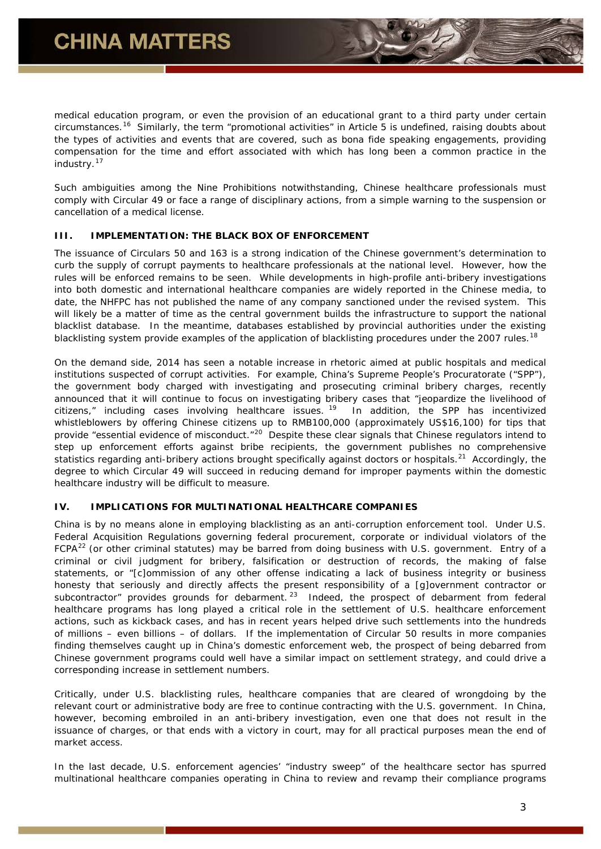medical education program, or even the provision of an educational grant to a third party under certain circumstances.[16](#page-4-15) Similarly, the term "promotional activities" in Article 5 is undefined, raising doubts about the types of activities and events that are covered, such as bona fide speaking engagements, providing compensation for the time and effort associated with which has long been a common practice in the industry.<sup>[17](#page-4-16)</sup>

Such ambiguities among the Nine Prohibitions notwithstanding, Chinese healthcare professionals must comply with Circular 49 or face a range of disciplinary actions, from a simple warning to the suspension or cancellation of a medical license.

#### **III. IMPLEMENTATION: THE BLACK BOX OF ENFORCEMENT**

The issuance of Circulars 50 and 163 is a strong indication of the Chinese government's determination to curb the supply of corrupt payments to healthcare professionals at the national level. However, how the rules will be enforced remains to be seen. While developments in high-profile anti-bribery investigations into both domestic and international healthcare companies are widely reported in the Chinese media, to date, the NHFPC has not published the name of any company sanctioned under the revised system. This will likely be a matter of time as the central government builds the infrastructure to support the national blacklist database. In the meantime, databases established by provincial authorities under the existing blacklisting system provide examples of the application of blacklisting procedures under the 2007 rules.<sup>[18](#page-4-17)</sup>

On the demand side, 2014 has seen a notable increase in rhetoric aimed at public hospitals and medical institutions suspected of corrupt activities. For example, China's Supreme People's Procuratorate ("SPP"), the government body charged with investigating and prosecuting criminal bribery charges, recently announced that it will continue to focus on investigating bribery cases that "jeopardize the livelihood of citizens," including cases involving healthcare issues. <sup>[19](#page-4-18)</sup> In addition, the SPP has incentivized whistleblowers by offering Chinese citizens up to RMB100,000 (approximately US\$16,100) for tips that provide "essential evidence of misconduct."<sup>[20](#page-4-19)</sup> Despite these clear signals that Chinese regulators intend to step up enforcement efforts against bribe recipients, the government publishes no comprehensive statistics regarding anti-bribery actions brought specifically against doctors or hospitals.<sup>[21](#page-4-20)</sup> Accordingly, the degree to which Circular 49 will succeed in reducing demand for improper payments within the domestic healthcare industry will be difficult to measure.

#### **IV. IMPLICATIONS FOR MULTINATIONAL HEALTHCARE COMPANIES**

China is by no means alone in employing blacklisting as an anti-corruption enforcement tool. Under U.S. Federal Acquisition Regulations governing federal procurement, corporate or individual violators of the  $FCPA<sup>22</sup>$  $FCPA<sup>22</sup>$  $FCPA<sup>22</sup>$  (or other criminal statutes) may be barred from doing business with U.S. government. Entry of a criminal or civil judgment for bribery, falsification or destruction of records, the making of false statements, or "[c]ommission of any other offense indicating a lack of business integrity or business honesty that seriously and directly affects the present responsibility of a [g]overnment contractor or subcontractor" provides grounds for debarment.  $23$  Indeed, the prospect of debarment from federal healthcare programs has long played a critical role in the settlement of U.S. healthcare enforcement actions, such as kickback cases, and has in recent years helped drive such settlements into the hundreds of millions – even billions – of dollars. If the implementation of Circular 50 results in more companies finding themselves caught up in China's domestic enforcement web, the prospect of being debarred from Chinese government programs could well have a similar impact on settlement strategy, and could drive a corresponding increase in settlement numbers.

Critically, under U.S. blacklisting rules, healthcare companies that are cleared of wrongdoing by the relevant court or administrative body are free to continue contracting with the U.S. government. In China, however, becoming embroiled in an anti-bribery investigation, even one that does not result in the issuance of charges, or that ends with a victory in court, may for all practical purposes mean the end of market access.

In the last decade, U.S. enforcement agencies' "industry sweep" of the healthcare sector has spurred multinational healthcare companies operating in China to review and revamp their compliance programs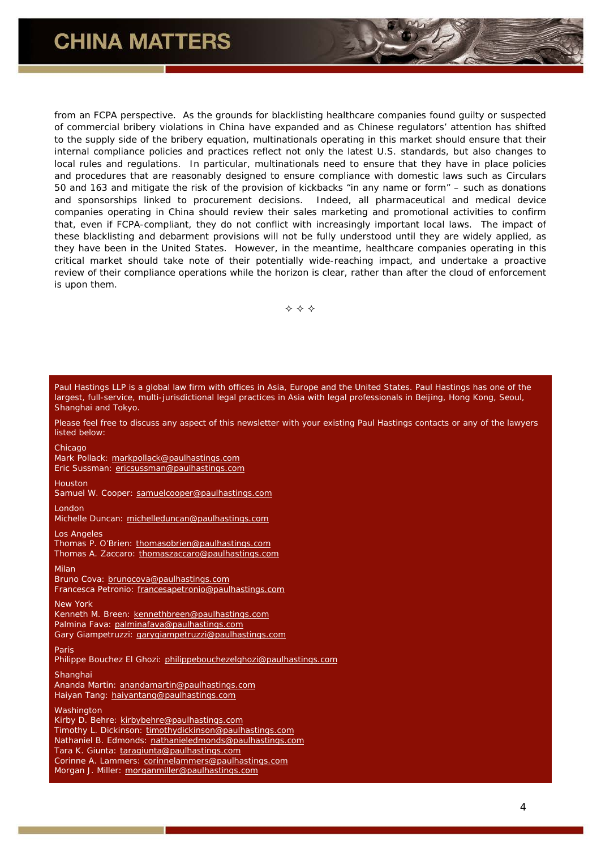## **CHINA MATTERS**

from an FCPA perspective. As the grounds for blacklisting healthcare companies found guilty or suspected of commercial bribery violations in China have expanded and as Chinese regulators' attention has shifted to the supply side of the bribery equation, multinationals operating in this market should ensure that their internal compliance policies and practices reflect not only the latest U.S. standards, but also changes to local rules and regulations. In particular, multinationals need to ensure that they have in place policies and procedures that are reasonably designed to ensure compliance with domestic laws such as Circulars 50 and 163 and mitigate the risk of the provision of kickbacks "in any name or form" – such as donations and sponsorships linked to procurement decisions. Indeed, all pharmaceutical and medical device companies operating in China should review their sales marketing and promotional activities to confirm that, even if FCPA-compliant, they do not conflict with increasingly important local laws. The impact of these blacklisting and debarment provisions will not be fully understood until they are widely applied, as they have been in the United States. However, in the meantime, healthcare companies operating in this critical market should take note of their potentially wide-reaching impact, and undertake a proactive review of their compliance operations while the horizon is clear, rather than after the cloud of enforcement is upon them.

 $\Leftrightarrow$   $\Leftrightarrow$   $\Leftrightarrow$ 

| Paul Hastings LLP is a global law firm with offices in Asia, Europe and the United States. Paul Hastings has one of the<br>largest, full-service, multi-jurisdictional legal practices in Asia with legal professionals in Beijing, Hong Kong, Seoul,<br>Shanghai and Tokyo.                                                             |
|------------------------------------------------------------------------------------------------------------------------------------------------------------------------------------------------------------------------------------------------------------------------------------------------------------------------------------------|
| Please feel free to discuss any aspect of this newsletter with your existing Paul Hastings contacts or any of the lawyers<br>listed below:                                                                                                                                                                                               |
| Chicago<br>Mark Pollack: markpollack@paulhastings.com<br>Eric Sussman: ericsussman@paulhastings.com                                                                                                                                                                                                                                      |
| <b>Houston</b><br>Samuel W. Cooper: samuelcooper@paulhastings.com                                                                                                                                                                                                                                                                        |
| London<br>Michelle Duncan: michelleduncan@paulhastings.com                                                                                                                                                                                                                                                                               |
| Los Angeles<br>Thomas P. O'Brien: thomasobrien@paulhastings.com<br>Thomas A. Zaccaro: thomaszaccaro@paulhastings.com                                                                                                                                                                                                                     |
| Milan<br>Bruno Cova: brunocova@paulhastings.com<br>Francesca Petronio: francesapetronio@paulhastings.com                                                                                                                                                                                                                                 |
| <b>New York</b><br>Kenneth M. Breen: kennethbreen@paulhastings.com<br>Palmina Fava: palminafava@paulhastings.com<br>Gary Giampetruzzi: garygiampetruzzi@paulhastings.com                                                                                                                                                                 |
| Paris<br>Philippe Bouchez El Ghozi: philippebouchezelghozi@paulhastings.com                                                                                                                                                                                                                                                              |
| Shanghai<br>Ananda Martin: anandamartin@paulhastings.com<br>Haiyan Tang: haiyantang@paulhastings.com                                                                                                                                                                                                                                     |
| Washington<br>Kirby D. Behre: kirbybehre@paulhastings.com<br>Timothy L. Dickinson: timothydickinson@paulhastings.com<br>Nathaniel B. Edmonds: nathanieledmonds@paulhastings.com<br>Tara K. Giunta: taragiunta@paulhastings.com<br>Corinne A. Lammers: corinnelammers@paulhastings.com<br>Morgan J. Miller: morganmiller@paulhastings.com |
|                                                                                                                                                                                                                                                                                                                                          |